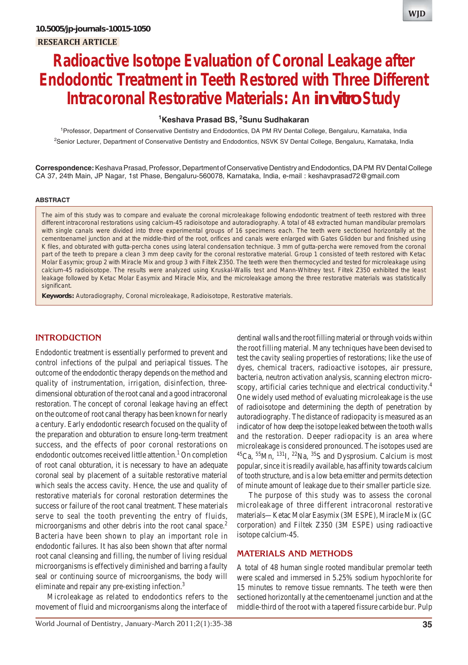# **Radioactive Isotope Evaluation of Coronal Leakage after Endodontic Treatment in Teeth Restored with Three Different Intracoronal Restorative Materials: An** *in vitro* **Study**

# **1 Keshava Prasad BS, 2 Sunu Sudhakaran**

<sup>1</sup> Professor, Department of Conservative Dentistry and Endodontics, DA PM RV Dental College, Bengaluru, Karnataka, India <sup>2</sup>Senior Lecturer, Department of Conservative Dentistry and Endodontics, NSVK SV Dental College, Bengaluru, Karnataka, India

**Correspondence:** Keshava Prasad, Professor, Department of Conservative Dentistry and Endodontics, DA PM RV Dental College CA 37, 24th Main, JP Nagar, 1st Phase, Bengaluru-560078, Karnataka, India, e-mail : keshavprasad72@gmail.com

#### **ABSTRACT**

The aim of this study was to compare and evaluate the coronal microleakage following endodontic treatment of teeth restored with three different intracoronal restorations using calcium-45 radioisotope and autoradiography. A total of 48 extracted human mandibular premolars with single canals were divided into three experimental groups of 16 specimens each. The teeth were sectioned horizontally at the cementoenamel junction and at the middle-third of the root, orifices and canals were enlarged with Gates Glidden bur and finished using K files, and obturated with gutta-percha cones using lateral condensation technique. 3 mm of gutta-percha were removed from the coronal part of the teeth to prepare a clean 3 mm deep cavity for the coronal restorative material. Group 1 consisted of teeth restored with Ketac Molar Easymix; group 2 with Miracle Mix and group 3 with Filtek Z350. The teeth were then thermocycled and tested for microleakage using calcium-45 radioisotope. The results were analyzed using Kruskal-Wallis test and Mann-Whitney test. Filtek Z350 exhibited the least leakage followed by Ketac Molar Easymix and Miracle Mix, and the microleakage among the three restorative materials was statistically significant.

**Keywords:** Autoradiography, Coronal microleakage, Radioisotope, Restorative materials.

# **INTRODUCTION**

Endodontic treatment is essentially performed to prevent and control infections of the pulpal and periapical tissues. The outcome of the endodontic therapy depends on the method and quality of instrumentation, irrigation, disinfection, threedimensional obturation of the root canal and a good intracoronal restoration. The concept of coronal leakage having an effect on the outcome of root canal therapy has been known for nearly a century. Early endodontic research focused on the quality of the preparation and obturation to ensure long-term treatment success, and the effects of poor coronal restorations on endodontic outcomes received little attention.<sup>1</sup> On completion of root canal obturation, it is necessary to have an adequate coronal seal by placement of a suitable restorative material which seals the access cavity. Hence, the use and quality of restorative materials for coronal restoration determines the success or failure of the root canal treatment. These materials serve to seal the tooth preventing the entry of fluids, microorganisms and other debris into the root canal space.<sup>2</sup> Bacteria have been shown to play an important role in endodontic failures. It has also been shown that after normal root canal cleansing and filling, the number of living residual microorganisms is effectively diminished and barring a faulty seal or continuing source of microorganisms, the body will eliminate and repair any pre-existing infection.<sup>3</sup>

Microleakage as related to endodontics refers to the movement of fluid and microorganisms along the interface of dentinal walls and the root filling material or through voids within the root filling material. Many techniques have been devised to test the cavity sealing properties of restorations; like the use of dyes, chemical tracers, radioactive isotopes, air pressure, bacteria, neutron activation analysis, scanning electron microscopy, artificial caries technique and electrical conductivity.<sup>4</sup> One widely used method of evaluating microleakage is the use of radioisotope and determining the depth of penetration by autoradiography. The distance of radiopacity is measured as an indicator of how deep the isotope leaked between the tooth walls and the restoration. Deeper radiopacity is an area where microleakage is considered pronounced. The isotopes used are  ${}^{45}Ca$ ,  ${}^{55}Mn$ ,  ${}^{131}I$ ,  ${}^{22}Na$ ,  ${}^{35}S$  and Dysprosium. Calcium is most popular, since it is readily available, has affinity towards calcium of tooth structure, and is a low beta emitter and permits detection of minute amount of leakage due to their smaller particle size.

The purpose of this study was to assess the coronal microleakage of three different intracoronal restorative materials—Ketac Molar Easymix (3M ESPE), Miracle Mix (GC corporation) and Filtek Z350 (3M ESPE) using radioactive isotope calcium-45.

## **MATERIALS AND METHODS**

A total of 48 human single rooted mandibular premolar teeth were scaled and immersed in 5.25% sodium hypochlorite for 15 minutes to remove tissue remnants. The teeth were then sectioned horizontally at the cementoenamel junction and at the middle-third of the root with a tapered fissure carbide bur. Pulp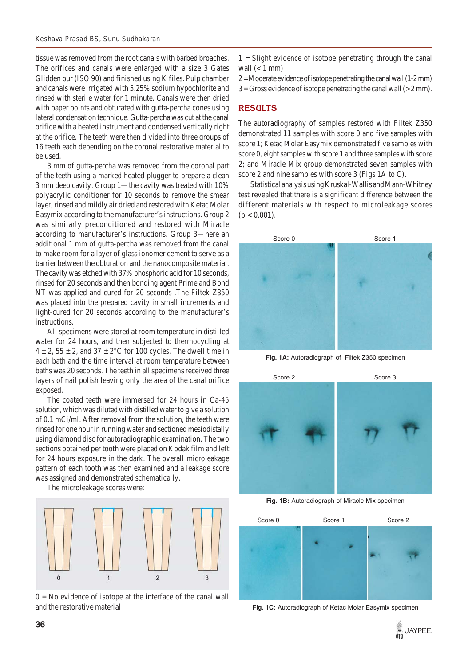tissue was removed from the root canals with barbed broaches. The orifices and canals were enlarged with a size 3 Gates Glidden bur (ISO 90) and finished using K files. Pulp chamber and canals were irrigated with 5.25% sodium hypochlorite and rinsed with sterile water for 1 minute. Canals were then dried with paper points and obturated with gutta-percha cones using lateral condensation technique. Gutta-percha was cut at the canal orifice with a heated instrument and condensed vertically right at the orifice. The teeth were then divided into three groups of 16 teeth each depending on the coronal restorative material to be used.

3 mm of gutta-percha was removed from the coronal part of the teeth using a marked heated plugger to prepare a clean 3 mm deep cavity. Group 1—the cavity was treated with 10% polyacrylic conditioner for 10 seconds to remove the smear layer, rinsed and mildly air dried and restored with Ketac Molar Easymix according to the manufacturer's instructions. Group 2 was similarly preconditioned and restored with Miracle according to manufacturer's instructions. Group 3—here an additional 1 mm of gutta-percha was removed from the canal to make room for a layer of glass ionomer cement to serve as a barrier between the obturation and the nanocomposite material. The cavity was etched with 37% phosphoric acid for 10 seconds, rinsed for 20 seconds and then bonding agent Prime and Bond NT was applied and cured for 20 seconds .The Filtek Z350 was placed into the prepared cavity in small increments and light-cured for 20 seconds according to the manufacturer's instructions.

All specimens were stored at room temperature in distilled water for 24 hours, and then subjected to thermocycling at  $4 \pm 2$ ,  $55 \pm 2$ , and  $37 \pm 2$ °C for 100 cycles. The dwell time in each bath and the time interval at room temperature between baths was 20 seconds. The teeth in all specimens received three layers of nail polish leaving only the area of the canal orifice exposed.

The coated teeth were immersed for 24 hours in Ca-45 solution, which was diluted with distilled water to give a solution of 0.1 mCi/ml. After removal from the solution, the teeth were rinsed for one hour in running water and sectioned mesiodistally using diamond disc for autoradiographic examination. The two sections obtained per tooth were placed on Kodak film and left for 24 hours exposure in the dark. The overall microleakage pattern of each tooth was then examined and a leakage score was assigned and demonstrated schematically.

The microleakage scores were:



 $0 = No$  evidence of isotope at the interface of the canal wall and the restorative material

 $1 =$  Slight evidence of isotope penetrating through the canal wall  $(< 1$  mm)

 $2 =$ Moderate evidence of isotope penetrating the canal wall  $(1-2 \text{ mm})$  $3 =$  Gross evidence of isotope penetrating the canal wall ( $>$  2 mm).

## **RESULTS**

The autoradiography of samples restored with Filtek Z350 demonstrated 11 samples with score 0 and five samples with score 1; Ketac Molar Easymix demonstrated five samples with score 0, eight samples with score 1 and three samples with score 2; and Miracle Mix group demonstrated seven samples with score 2 and nine samples with score 3 (Figs 1A to C).

Statistical analysis using Kruskal-Wallis and Mann-Whitney test revealed that there is a significant difference between the different materials with respect to microleakage scores  $(p < 0.001)$ .



**Fig. 1A:** Autoradiograph of Filtek Z350 specimen



**Fig. 1B:** Autoradiograph of Miracle Mix specimen



**Fig. 1C:** Autoradiograph of Ketac Molar Easymix specimen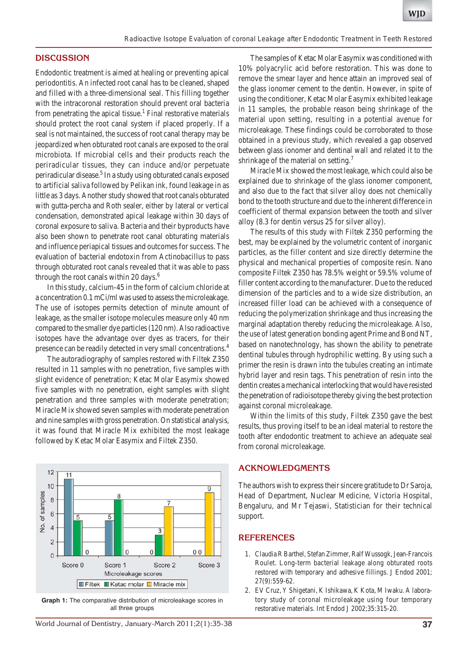#### **DISCUSSION**

Endodontic treatment is aimed at healing or preventing apical periodontitis. An infected root canal has to be cleaned, shaped and filled with a three-dimensional seal. This filling together with the intracoronal restoration should prevent oral bacteria from penetrating the apical tissue.<sup>1</sup> Final restorative materials should protect the root canal system if placed properly. If a seal is not maintained, the success of root canal therapy may be jeopardized when obturated root canals are exposed to the oral microbiota. If microbial cells and their products reach the periradicular tissues, they can induce and/or perpetuate periradicular disease.<sup>5</sup> In a study using obturated canals exposed to artificial saliva followed by Pelikan ink, found leakage in as little as 3 days. Another study showed that root canals obturated with gutta-percha and Roth sealer, either by lateral or vertical condensation, demonstrated apical leakage within 30 days of coronal exposure to saliva. Bacteria and their byproducts have also been shown to penetrate root canal obturating materials and influence periapical tissues and outcomes for success. The evaluation of bacterial endotoxin from Actinobacillus to pass through obturated root canals revealed that it was able to pass through the root canals within 20 days.<sup>6</sup>

In this study, calcium-45 in the form of calcium chloride at a concentration 0.1 mCi/ml was used to assess the microleakage. The use of isotopes permits detection of minute amount of leakage, as the smaller isotope molecules measure only 40 nm compared to the smaller dye particles (120 nm). Also radioactive isotopes have the advantage over dyes as tracers, for their presence can be readily detected in very small concentrations.4

The autoradiography of samples restored with Filtek Z350 resulted in 11 samples with no penetration, five samples with slight evidence of penetration; Ketac Molar Easymix showed five samples with no penetration, eight samples with slight penetration and three samples with moderate penetration; Miracle Mix showed seven samples with moderate penetration and nine samples with gross penetration. On statistical analysis, it was found that Miracle Mix exhibited the most leakage followed by Ketac Molar Easymix and Filtek Z350.



**Graph 1:** The comparative distribution of microleakage scores in all three groups

The samples of Ketac Molar Easymix was conditioned with 10% polyacrylic acid before restoration. This was done to remove the smear layer and hence attain an improved seal of the glass ionomer cement to the dentin. However, in spite of using the conditioner, Ketac Molar Easymix exhibited leakage in 11 samples, the probable reason being shrinkage of the material upon setting, resulting in a potential avenue for microleakage. These findings could be corroborated to those obtained in a previous study, which revealed a gap observed between glass ionomer and dentinal wall and related it to the shrinkage of the material on setting.<sup>7</sup>

Miracle Mix showed the most leakage, which could also be explained due to shrinkage of the glass ionomer component, and also due to the fact that silver alloy does not chemically bond to the tooth structure and due to the inherent difference in coefficient of thermal expansion between the tooth and silver alloy (8.3 for dentin versus 25 for silver alloy).

The results of this study with Filtek Z350 performing the best, may be explained by the volumetric content of inorganic particles, as the filler content and size directly determine the physical and mechanical properties of composite resin. Nano composite Filtek Z350 has 78.5% weight or 59.5% volume of filler content according to the manufacturer. Due to the reduced dimension of the particles and to a wide size distribution, an increased filler load can be achieved with a consequence of reducing the polymerization shrinkage and thus increasing the marginal adaptation thereby reducing the microleakage. Also, the use of latest generation bonding agent Prime and Bond NT, based on nanotechnology, has shown the ability to penetrate dentinal tubules through hydrophilic wetting. By using such a primer the resin is drawn into the tubules creating an intimate hybrid layer and resin tags. This penetration of resin into the dentin creates a mechanical interlocking that would have resisted the penetration of radioisotope thereby giving the best protection against coronal microleakage.

Within the limits of this study, Filtek Z350 gave the best results, thus proving itself to be an ideal material to restore the tooth after endodontic treatment to achieve an adequate seal from coronal microleakage.

## **ACKNOWLEDGMENTS**

The authors wish to express their sincere gratitude to Dr Saroja, Head of Department, Nuclear Medicine, Victoria Hospital, Bengaluru, and Mr Tejaswi, Statistician for their technical support.

#### **REFERENCES**

- 1. Claudia R Barthel, Stefan Zimmer, Ralf Wussogk, Jean-Francois Roulet. Long-term bacterial leakage along obturated roots restored with temporary and adhesive fillings. J Endod 2001; 27(9):559-62.
- 2. EV Cruz, Y Shigetani, K Ishikawa, K Kota, M Iwaku. A laboratory study of coronal microleakage using four temporary restorative materials. Int Endod J 2002;35:315-20.